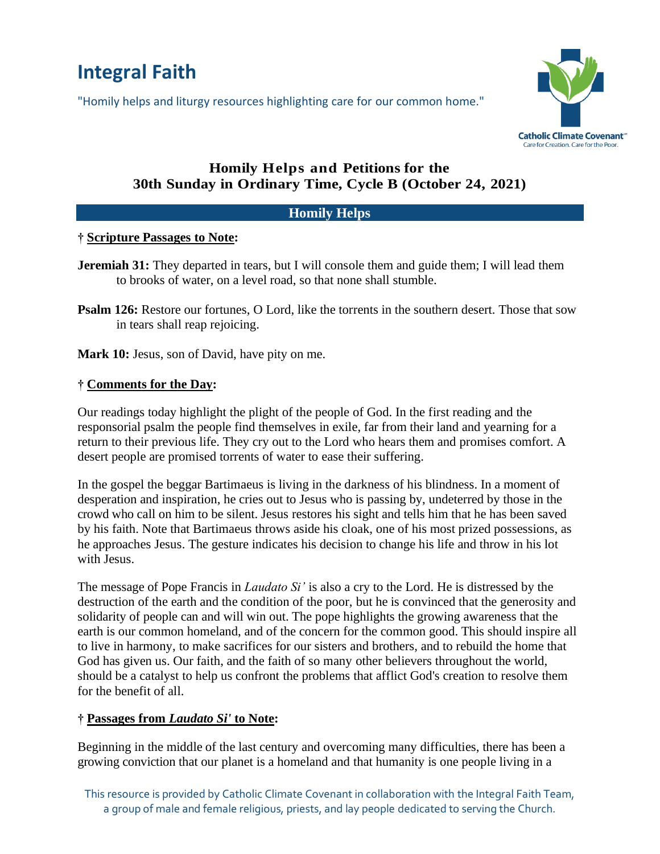# **Integral Faith**

"Homily helps and liturgy resources highlighting care for our common home."



# **Homily Helps and Petitions for the 30th Sunday in Ordinary Time, Cycle B (October 24, 2021)**

# **Homily Helps**

## **† Scripture Passages to Note:**

- **Jeremiah 31:** They departed in tears, but I will console them and guide them; I will lead them to brooks of water, on a level road, so that none shall stumble.
- **Psalm 126:** Restore our fortunes, O Lord, like the torrents in the southern desert. Those that sow in tears shall reap rejoicing.

**Mark 10:** Jesus, son of David, have pity on me.

# **† Comments for the Day:**

Our readings today highlight the plight of the people of God. In the first reading and the responsorial psalm the people find themselves in exile, far from their land and yearning for a return to their previous life. They cry out to the Lord who hears them and promises comfort. A desert people are promised torrents of water to ease their suffering.

In the gospel the beggar Bartimaeus is living in the darkness of his blindness. In a moment of desperation and inspiration, he cries out to Jesus who is passing by, undeterred by those in the crowd who call on him to be silent. Jesus restores his sight and tells him that he has been saved by his faith. Note that Bartimaeus throws aside his cloak, one of his most prized possessions, as he approaches Jesus. The gesture indicates his decision to change his life and throw in his lot with Jesus.

The message of Pope Francis in *Laudato Si'* is also a cry to the Lord. He is distressed by the destruction of the earth and the condition of the poor, but he is convinced that the generosity and solidarity of people can and will win out. The pope highlights the growing awareness that the earth is our common homeland, and of the concern for the common good. This should inspire all to live in harmony, to make sacrifices for our sisters and brothers, and to rebuild the home that God has given us. Our faith, and the faith of so many other believers throughout the world, should be a catalyst to help us confront the problems that afflict God's creation to resolve them for the benefit of all.

## **† Passages from** *Laudato Si'* **to Note:**

Beginning in the middle of the last century and overcoming many difficulties, there has been a growing conviction that our planet is a homeland and that humanity is one people living in a

This resource is provided by Catholic Climate Covenant in collaboration with the Integral Faith Team, a group of male and female religious, priests, and lay people dedicated to serving the Church.